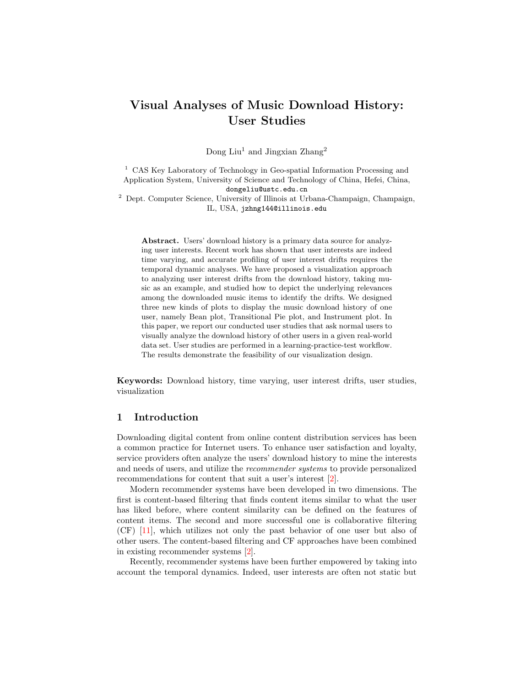# Visual Analyses of Music Download History: User Studies

Dong Liu<sup>1</sup> and Jingxian  $\text{Zhang}^2$ 

<sup>1</sup> CAS Key Laboratory of Technology in Geo-spatial Information Processing and Application System, University of Science and Technology of China, Hefei, China, dongeliu@ustc.edu.cn

<sup>2</sup> Dept. Computer Science, University of Illinois at Urbana-Champaign, Champaign, IL, USA, jzhng144@illinois.edu

Abstract. Users' download history is a primary data source for analyzing user interests. Recent work has shown that user interests are indeed time varying, and accurate profiling of user interest drifts requires the temporal dynamic analyses. We have proposed a visualization approach to analyzing user interest drifts from the download history, taking music as an example, and studied how to depict the underlying relevances among the downloaded music items to identify the drifts. We designed three new kinds of plots to display the music download history of one user, namely Bean plot, Transitional Pie plot, and Instrument plot. In this paper, we report our conducted user studies that ask normal users to visually analyze the download history of other users in a given real-world data set. User studies are performed in a learning-practice-test workflow. The results demonstrate the feasibility of our visualization design.

Keywords: Download history, time varying, user interest drifts, user studies, visualization

## 1 Introduction

Downloading digital content from online content distribution services has been a common practice for Internet users. To enhance user satisfaction and loyalty, service providers often analyze the users' download history to mine the interests and needs of users, and utilize the recommender systems to provide personalized recommendations for content that suit a user's interest [\[2\]](#page-11-0).

Modern recommender systems have been developed in two dimensions. The first is content-based filtering that finds content items similar to what the user has liked before, where content similarity can be defined on the features of content items. The second and more successful one is collaborative filtering (CF) [\[11\]](#page-11-1), which utilizes not only the past behavior of one user but also of other users. The content-based filtering and CF approaches have been combined in existing recommender systems [\[2\]](#page-11-0).

Recently, recommender systems have been further empowered by taking into account the temporal dynamics. Indeed, user interests are often not static but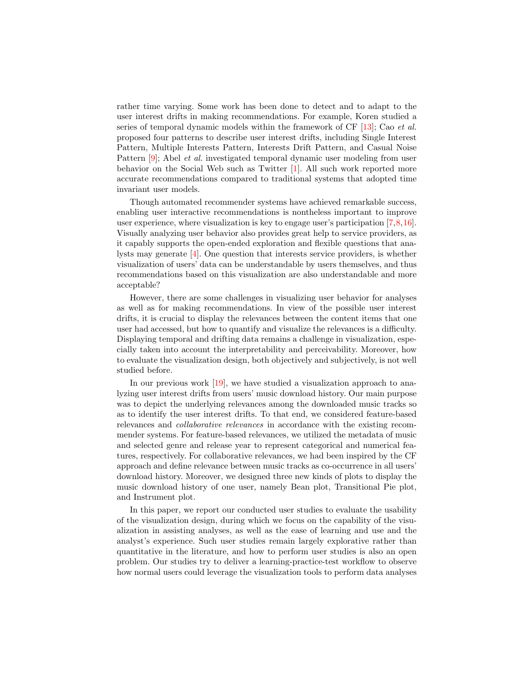rather time varying. Some work has been done to detect and to adapt to the user interest drifts in making recommendations. For example, Koren studied a series of temporal dynamic models within the framework of CF  $[13]$ ; Cao *et al.* proposed four patterns to describe user interest drifts, including Single Interest Pattern, Multiple Interests Pattern, Interests Drift Pattern, and Casual Noise Pattern [\[9\]](#page-11-3); Abel *et al.* investigated temporal dynamic user modeling from user behavior on the Social Web such as Twitter [\[1\]](#page-11-4). All such work reported more accurate recommendations compared to traditional systems that adopted time invariant user models.

Though automated recommender systems have achieved remarkable success, enabling user interactive recommendations is nontheless important to improve user experience, where visualization is key to engage user's participation [\[7,](#page-11-5)[8,](#page-11-6)[16\]](#page-11-7). Visually analyzing user behavior also provides great help to service providers, as it capably supports the open-ended exploration and flexible questions that analysts may generate [\[4\]](#page-11-8). One question that interests service providers, is whether visualization of users' data can be understandable by users themselves, and thus recommendations based on this visualization are also understandable and more acceptable?

However, there are some challenges in visualizing user behavior for analyses as well as for making recommendations. In view of the possible user interest drifts, it is crucial to display the relevances between the content items that one user had accessed, but how to quantify and visualize the relevances is a difficulty. Displaying temporal and drifting data remains a challenge in visualization, especially taken into account the interpretability and perceivability. Moreover, how to evaluate the visualization design, both objectively and subjectively, is not well studied before.

In our previous work [\[19\]](#page-11-9), we have studied a visualization approach to analyzing user interest drifts from users' music download history. Our main purpose was to depict the underlying relevances among the downloaded music tracks so as to identify the user interest drifts. To that end, we considered feature-based relevances and collaborative relevances in accordance with the existing recommender systems. For feature-based relevances, we utilized the metadata of music and selected genre and release year to represent categorical and numerical features, respectively. For collaborative relevances, we had been inspired by the CF approach and define relevance between music tracks as co-occurrence in all users' download history. Moreover, we designed three new kinds of plots to display the music download history of one user, namely Bean plot, Transitional Pie plot, and Instrument plot.

In this paper, we report our conducted user studies to evaluate the usability of the visualization design, during which we focus on the capability of the visualization in assisting analyses, as well as the ease of learning and use and the analyst's experience. Such user studies remain largely explorative rather than quantitative in the literature, and how to perform user studies is also an open problem. Our studies try to deliver a learning-practice-test workflow to observe how normal users could leverage the visualization tools to perform data analyses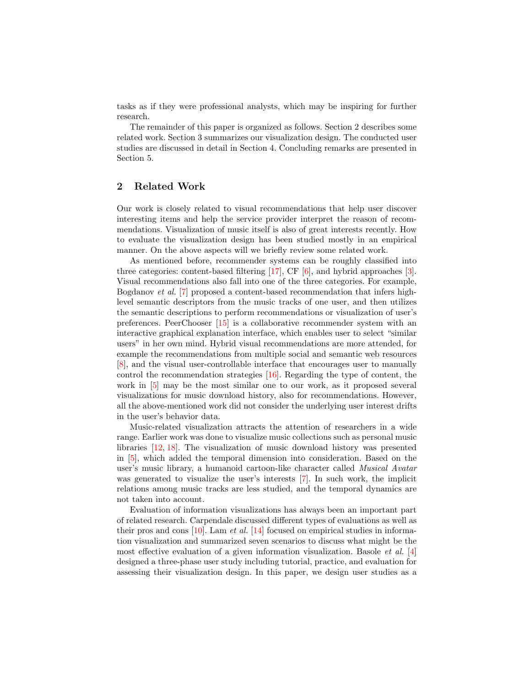tasks as if they were professional analysts, which may be inspiring for further research.

The remainder of this paper is organized as follows. Section 2 describes some related work. Section 3 summarizes our visualization design. The conducted user studies are discussed in detail in Section 4. Concluding remarks are presented in Section 5.

## 2 Related Work

Our work is closely related to visual recommendations that help user discover interesting items and help the service provider interpret the reason of recommendations. Visualization of music itself is also of great interests recently. How to evaluate the visualization design has been studied mostly in an empirical manner. On the above aspects will we briefly review some related work.

As mentioned before, recommender systems can be roughly classified into three categories: content-based filtering [\[17\]](#page-11-10), CF [\[6\]](#page-11-11), and hybrid approaches [\[3\]](#page-11-12). Visual recommendations also fall into one of the three categories. For example, Bogdanov et al. [\[7\]](#page-11-5) proposed a content-based recommendation that infers highlevel semantic descriptors from the music tracks of one user, and then utilizes the semantic descriptions to perform recommendations or visualization of user's preferences. PeerChooser [\[15\]](#page-11-13) is a collaborative recommender system with an interactive graphical explanation interface, which enables user to select "similar users" in her own mind. Hybrid visual recommendations are more attended, for example the recommendations from multiple social and semantic web resources [\[8\]](#page-11-6), and the visual user-controllable interface that encourages user to manually control the recommendation strategies [\[16\]](#page-11-7). Regarding the type of content, the work in  $[5]$  may be the most similar one to our work, as it proposed several visualizations for music download history, also for recommendations. However, all the above-mentioned work did not consider the underlying user interest drifts in the user's behavior data.

Music-related visualization attracts the attention of researchers in a wide range. Earlier work was done to visualize music collections such as personal music libraries [\[12,](#page-11-15) [18\]](#page-11-16). The visualization of music download history was presented in [\[5\]](#page-11-14), which added the temporal dimension into consideration. Based on the user's music library, a humanoid cartoon-like character called Musical Avatar was generated to visualize the user's interests [\[7\]](#page-11-5). In such work, the implicit relations among music tracks are less studied, and the temporal dynamics are not taken into account.

Evaluation of information visualizations has always been an important part of related research. Carpendale discussed different types of evaluations as well as their pros and cons  $[10]$ . Lam *et al.*  $[14]$  focused on empirical studies in information visualization and summarized seven scenarios to discuss what might be the most effective evaluation of a given information visualization. Basole *et al.* [\[4\]](#page-11-8) designed a three-phase user study including tutorial, practice, and evaluation for assessing their visualization design. In this paper, we design user studies as a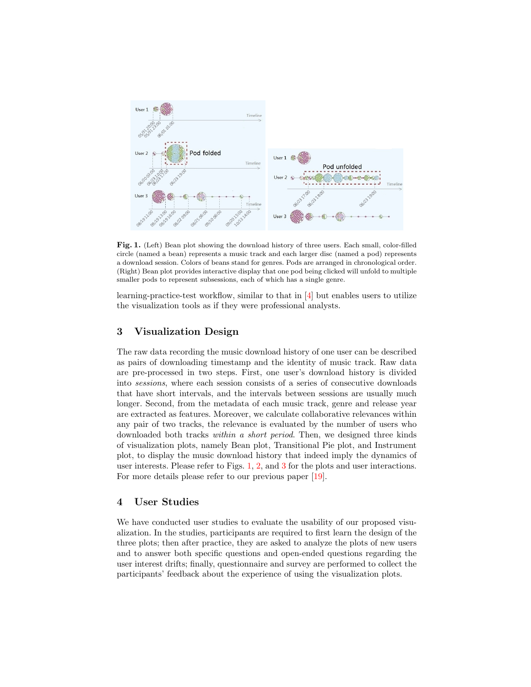

<span id="page-3-0"></span>Fig. 1. (Left) Bean plot showing the download history of three users. Each small, color-filled circle (named a bean) represents a music track and each larger disc (named a pod) represents a download session. Colors of beans stand for genres. Pods are arranged in chronological order. (Right) Bean plot provides interactive display that one pod being clicked will unfold to multiple smaller pods to represent subsessions, each of which has a single genre.

learning-practice-test workflow, similar to that in [\[4\]](#page-11-8) but enables users to utilize the visualization tools as if they were professional analysts.

## 3 Visualization Design

The raw data recording the music download history of one user can be described as pairs of downloading timestamp and the identity of music track. Raw data are pre-processed in two steps. First, one user's download history is divided into sessions, where each session consists of a series of consecutive downloads that have short intervals, and the intervals between sessions are usually much longer. Second, from the metadata of each music track, genre and release year are extracted as features. Moreover, we calculate collaborative relevances within any pair of two tracks, the relevance is evaluated by the number of users who downloaded both tracks *within a short period*. Then, we designed three kinds of visualization plots, namely Bean plot, Transitional Pie plot, and Instrument plot, to display the music download history that indeed imply the dynamics of user interests. Please refer to Figs. [1,](#page-3-0) [2,](#page-4-0) and [3](#page-4-1) for the plots and user interactions. For more details please refer to our previous paper [\[19\]](#page-11-9).

## 4 User Studies

We have conducted user studies to evaluate the usability of our proposed visualization. In the studies, participants are required to first learn the design of the three plots; then after practice, they are asked to analyze the plots of new users and to answer both specific questions and open-ended questions regarding the user interest drifts; finally, questionnaire and survey are performed to collect the participants' feedback about the experience of using the visualization plots.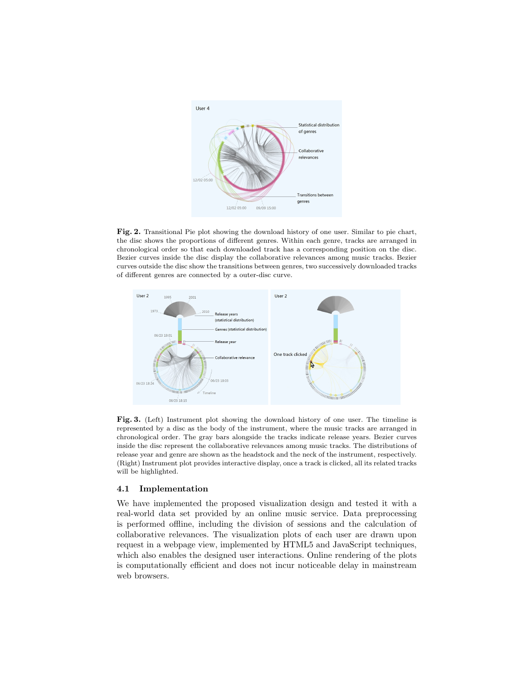

<span id="page-4-0"></span>Fig. 2. Transitional Pie plot showing the download history of one user. Similar to pie chart, the disc shows the proportions of different genres. Within each genre, tracks are arranged in chronological order so that each downloaded track has a corresponding position on the disc. Bezier curves inside the disc display the collaborative relevances among music tracks. Bezier curves outside the disc show the transitions between genres, two successively downloaded tracks of different genres are connected by a outer-disc curve.



<span id="page-4-1"></span>Fig. 3. (Left) Instrument plot showing the download history of one user. The timeline is represented by a disc as the body of the instrument, where the music tracks are arranged in chronological order. The gray bars alongside the tracks indicate release years. Bezier curves inside the disc represent the collaborative relevances among music tracks. The distributions of release year and genre are shown as the headstock and the neck of the instrument, respectively. (Right) Instrument plot provides interactive display, once a track is clicked, all its related tracks will be highlighted.

#### 4.1 Implementation

We have implemented the proposed visualization design and tested it with a real-world data set provided by an online music service. Data preprocessing is performed offline, including the division of sessions and the calculation of collaborative relevances. The visualization plots of each user are drawn upon request in a webpage view, implemented by HTML5 and JavaScript techniques, which also enables the designed user interactions. Online rendering of the plots is computationally efficient and does not incur noticeable delay in mainstream web browsers.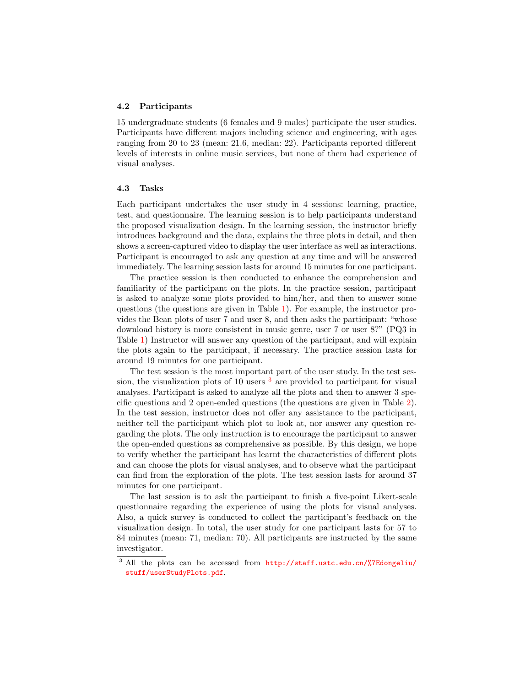#### 4.2 Participants

15 undergraduate students (6 females and 9 males) participate the user studies. Participants have different majors including science and engineering, with ages ranging from 20 to 23 (mean: 21.6, median: 22). Participants reported different levels of interests in online music services, but none of them had experience of visual analyses.

#### 4.3 Tasks

Each participant undertakes the user study in 4 sessions: learning, practice, test, and questionnaire. The learning session is to help participants understand the proposed visualization design. In the learning session, the instructor briefly introduces background and the data, explains the three plots in detail, and then shows a screen-captured video to display the user interface as well as interactions. Participant is encouraged to ask any question at any time and will be answered immediately. The learning session lasts for around 15 minutes for one participant.

The practice session is then conducted to enhance the comprehension and familiarity of the participant on the plots. In the practice session, participant is asked to analyze some plots provided to him/her, and then to answer some questions (the questions are given in Table [1\)](#page-6-0). For example, the instructor provides the Bean plots of user 7 and user 8, and then asks the participant: "whose download history is more consistent in music genre, user 7 or user 8?" (PQ3 in Table [1\)](#page-6-0) Instructor will answer any question of the participant, and will explain the plots again to the participant, if necessary. The practice session lasts for around 19 minutes for one participant.

The test session is the most important part of the user study. In the test session, the visualization plots of 10 users  $3$  are provided to participant for visual analyses. Participant is asked to analyze all the plots and then to answer 3 specific questions and 2 open-ended questions (the questions are given in Table [2\)](#page-6-1). In the test session, instructor does not offer any assistance to the participant, neither tell the participant which plot to look at, nor answer any question regarding the plots. The only instruction is to encourage the participant to answer the open-ended questions as comprehensive as possible. By this design, we hope to verify whether the participant has learnt the characteristics of different plots and can choose the plots for visual analyses, and to observe what the participant can find from the exploration of the plots. The test session lasts for around 37 minutes for one participant.

The last session is to ask the participant to finish a five-point Likert-scale questionnaire regarding the experience of using the plots for visual analyses. Also, a quick survey is conducted to collect the participant's feedback on the visualization design. In total, the user study for one participant lasts for 57 to 84 minutes (mean: 71, median: 70). All participants are instructed by the same investigator.

<span id="page-5-0"></span><sup>&</sup>lt;sup>3</sup> All the plots can be accessed from  $http://staff.ustc.edu.cn/\%7Edongeliu/$ [stuff/userStudyPlots.pdf](http://staff.ustc.edu.cn/%7Edongeliu/stuff/userStudyPlots.pdf).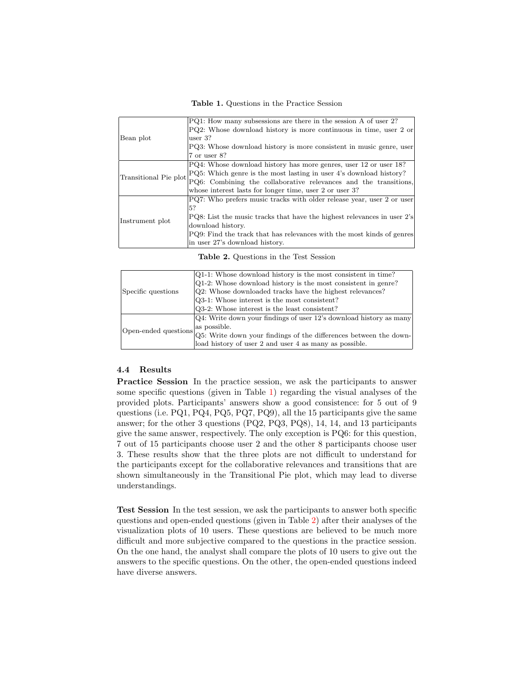<span id="page-6-0"></span>Table 1. Questions in the Practice Session

| Bean plot             | PQ1: How many subsessions are there in the session A of user 2?         |  |  |
|-----------------------|-------------------------------------------------------------------------|--|--|
|                       | PQ2: Whose download history is more continuous in time, user 2 or       |  |  |
|                       | user 3?                                                                 |  |  |
|                       | PQ3: Whose download history is more consistent in music genre, user     |  |  |
|                       | 7 or user 8?                                                            |  |  |
| Transitional Pie plot | PQ4: Whose download history has more genres, user 12 or user 18?        |  |  |
|                       | PQ5: Which genre is the most lasting in user 4's download history?      |  |  |
|                       | PQ6: Combining the collaborative relevances and the transitions,        |  |  |
|                       | whose interest lasts for longer time, user 2 or user 3?                 |  |  |
| Instrument plot       | PQ7: Who prefers music tracks with older release year, user 2 or user   |  |  |
|                       | 5?                                                                      |  |  |
|                       | PQ8: List the music tracks that have the highest relevances in user 2's |  |  |
|                       | download history.                                                       |  |  |
|                       | PQ9: Find the track that has relevances with the most kinds of genres   |  |  |
|                       | in user 27's download history.                                          |  |  |

<span id="page-6-1"></span>Table 2. Questions in the Test Session

| Specific questions   | $ Q1-1 $ : Whose download history is the most consistent in time?     |
|----------------------|-----------------------------------------------------------------------|
|                      | $ Q1-2 $ : Whose download history is the most consistent in genre?    |
|                      | Q2: Whose downloaded tracks have the highest relevances?              |
|                      | Q3-1: Whose interest is the most consistent?                          |
|                      | Q3-2: Whose interest is the least consistent?                         |
| Open-ended questions | $Q4$ : Write down your findings of user 12's download history as many |
|                      | as possible.                                                          |
|                      | Q5: Write down your findings of the differences between the down-     |
|                      | load history of user 2 and user 4 as many as possible.                |

#### 4.4 Results

Practice Session In the practice session, we ask the participants to answer some specific questions (given in Table [1\)](#page-6-0) regarding the visual analyses of the provided plots. Participants' answers show a good consistence: for 5 out of 9 questions (i.e. PQ1, PQ4, PQ5, PQ7, PQ9), all the 15 participants give the same answer; for the other 3 questions (PQ2, PQ3, PQ8), 14, 14, and 13 participants give the same answer, respectively. The only exception is PQ6: for this question, 7 out of 15 participants choose user 2 and the other 8 participants choose user 3. These results show that the three plots are not difficult to understand for the participants except for the collaborative relevances and transitions that are shown simultaneously in the Transitional Pie plot, which may lead to diverse understandings.

Test Session In the test session, we ask the participants to answer both specific questions and open-ended questions (given in Table [2\)](#page-6-1) after their analyses of the visualization plots of 10 users. These questions are believed to be much more difficult and more subjective compared to the questions in the practice session. On the one hand, the analyst shall compare the plots of 10 users to give out the answers to the specific questions. On the other, the open-ended questions indeed have diverse answers.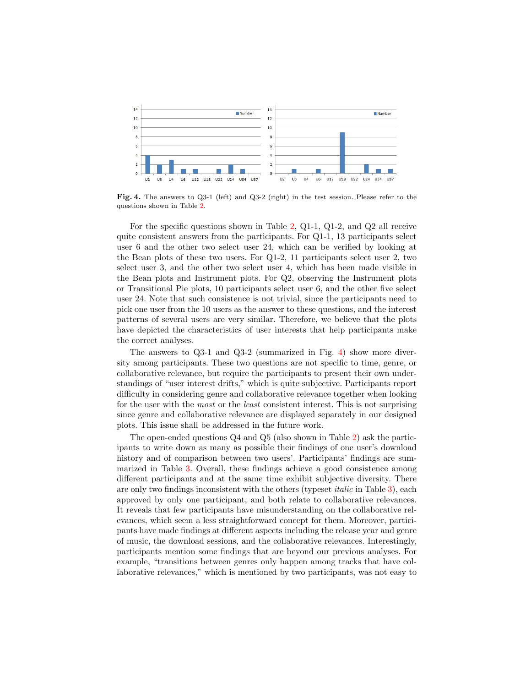

<span id="page-7-0"></span>Fig. 4. The answers to Q3-1 (left) and Q3-2 (right) in the test session. Please refer to the questions shown in Table [2.](#page-6-1)

For the specific questions shown in Table [2,](#page-6-1) Q1-1, Q1-2, and Q2 all receive quite consistent answers from the participants. For Q1-1, 13 participants select user 6 and the other two select user 24, which can be verified by looking at the Bean plots of these two users. For Q1-2, 11 participants select user 2, two select user 3, and the other two select user 4, which has been made visible in the Bean plots and Instrument plots. For Q2, observing the Instrument plots or Transitional Pie plots, 10 participants select user 6, and the other five select user 24. Note that such consistence is not trivial, since the participants need to pick one user from the 10 users as the answer to these questions, and the interest patterns of several users are very similar. Therefore, we believe that the plots have depicted the characteristics of user interests that help participants make the correct analyses.

The answers to Q3-1 and Q3-2 (summarized in Fig. [4\)](#page-7-0) show more diversity among participants. These two questions are not specific to time, genre, or collaborative relevance, but require the participants to present their own understandings of "user interest drifts," which is quite subjective. Participants report difficulty in considering genre and collaborative relevance together when looking for the user with the *most* or the *least* consistent interest. This is not surprising since genre and collaborative relevance are displayed separately in our designed plots. This issue shall be addressed in the future work.

The open-ended questions Q4 and Q5 (also shown in Table [2\)](#page-6-1) ask the participants to write down as many as possible their findings of one user's download history and of comparison between two users'. Participants' findings are summarized in Table [3.](#page-9-0) Overall, these findings achieve a good consistence among different participants and at the same time exhibit subjective diversity. There are only two findings inconsistent with the others (typeset italic in Table [3\)](#page-9-0), each approved by only one participant, and both relate to collaborative relevances. It reveals that few participants have misunderstanding on the collaborative relevances, which seem a less straightforward concept for them. Moreover, participants have made findings at different aspects including the release year and genre of music, the download sessions, and the collaborative relevances. Interestingly, participants mention some findings that are beyond our previous analyses. For example, "transitions between genres only happen among tracks that have collaborative relevances," which is mentioned by two participants, was not easy to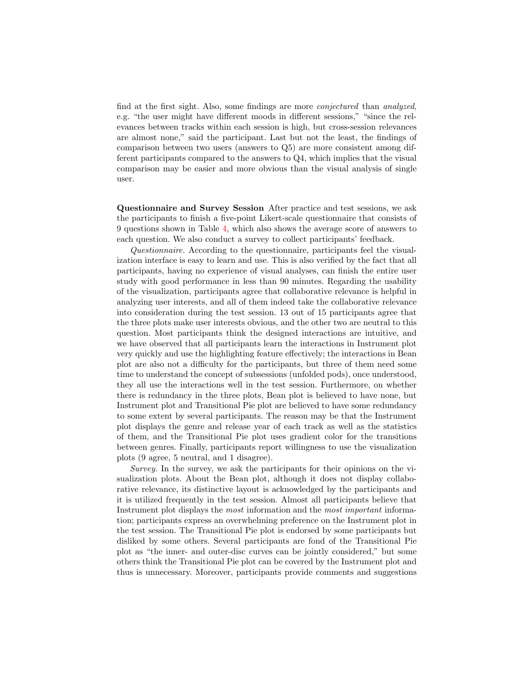find at the first sight. Also, some findings are more conjectured than analyzed, e.g. "the user might have different moods in different sessions," "since the relevances between tracks within each session is high, but cross-session relevances are almost none," said the participant. Last but not the least, the findings of comparison between two users (answers to Q5) are more consistent among different participants compared to the answers to Q4, which implies that the visual comparison may be easier and more obvious than the visual analysis of single user.

Questionnaire and Survey Session After practice and test sessions, we ask the participants to finish a five-point Likert-scale questionnaire that consists of 9 questions shown in Table [4,](#page-10-0) which also shows the average score of answers to each question. We also conduct a survey to collect participants' feedback.

Questionnaire. According to the questionnaire, participants feel the visualization interface is easy to learn and use. This is also verified by the fact that all participants, having no experience of visual analyses, can finish the entire user study with good performance in less than 90 minutes. Regarding the usability of the visualization, participants agree that collaborative relevance is helpful in analyzing user interests, and all of them indeed take the collaborative relevance into consideration during the test session. 13 out of 15 participants agree that the three plots make user interests obvious, and the other two are neutral to this question. Most participants think the designed interactions are intuitive, and we have observed that all participants learn the interactions in Instrument plot very quickly and use the highlighting feature effectively; the interactions in Bean plot are also not a difficulty for the participants, but three of them need some time to understand the concept of subsessions (unfolded pods), once understood, they all use the interactions well in the test session. Furthermore, on whether there is redundancy in the three plots, Bean plot is believed to have none, but Instrument plot and Transitional Pie plot are believed to have some redundancy to some extent by several participants. The reason may be that the Instrument plot displays the genre and release year of each track as well as the statistics of them, and the Transitional Pie plot uses gradient color for the transitions between genres. Finally, participants report willingness to use the visualization plots (9 agree, 5 neutral, and 1 disagree).

Survey. In the survey, we ask the participants for their opinions on the visualization plots. About the Bean plot, although it does not display collaborative relevance, its distinctive layout is acknowledged by the participants and it is utilized frequently in the test session. Almost all participants believe that Instrument plot displays the *most* information and the *most important* information; participants express an overwhelming preference on the Instrument plot in the test session. The Transitional Pie plot is endorsed by some participants but disliked by some others. Several participants are fond of the Transitional Pie plot as "the inner- and outer-disc curves can be jointly considered," but some others think the Transitional Pie plot can be covered by the Instrument plot and thus is unnecessary. Moreover, participants provide comments and suggestions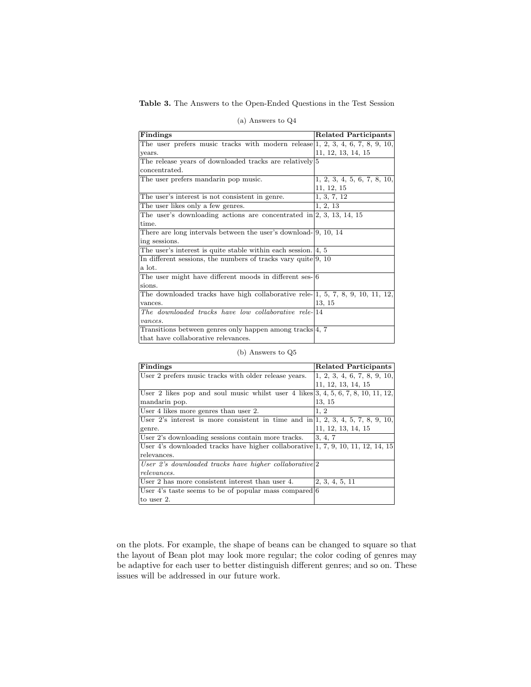<span id="page-9-0"></span>Table 3. The Answers to the Open-Ended Questions in the Test Session

(a) Answers to Q4

| Findings                                                                                      | <b>Related Participants</b> |  |  |  |  |
|-----------------------------------------------------------------------------------------------|-----------------------------|--|--|--|--|
| The user prefers music tracks with modern release $\left[1, 2, 3, 4, 6, 7, 8, 9, 10, \right]$ |                             |  |  |  |  |
| vears.                                                                                        | 11, 12, 13, 14, 15          |  |  |  |  |
| The release years of downloaded tracks are relatively 5                                       |                             |  |  |  |  |
| concentrated.                                                                                 |                             |  |  |  |  |
| The user prefers mandarin pop music.                                                          | 1, 2, 3, 4, 5, 6, 7, 8, 10, |  |  |  |  |
|                                                                                               | 11, 12, 15                  |  |  |  |  |
| The user's interest is not consistent in genre.                                               | 1, 3, 7, 12                 |  |  |  |  |
| The user likes only a few genres.                                                             | 1, 2, 13                    |  |  |  |  |
| The user's downloading actions are concentrated in $[2, 3, 13, 14, 15]$                       |                             |  |  |  |  |
| time.                                                                                         |                             |  |  |  |  |
| There are long intervals between the user's download-[9, 10, 14]                              |                             |  |  |  |  |
| ing sessions.                                                                                 |                             |  |  |  |  |
| The user's interest is quite stable within each session. $ 4, 5 $                             |                             |  |  |  |  |
| In different sessions, the numbers of tracks vary quite $ 9, 10\rangle$                       |                             |  |  |  |  |
| a lot.                                                                                        |                             |  |  |  |  |
| The user might have different moods in different ses- 6                                       |                             |  |  |  |  |
| sions.                                                                                        |                             |  |  |  |  |
| The downloaded tracks have high collaborative rele- $\vert 1, 5, 7, 8, 9, 10, 11, 12, \vert$  |                             |  |  |  |  |
| vances.                                                                                       | 13, 15                      |  |  |  |  |
| The downloaded tracks have low collaborative rele-114                                         |                             |  |  |  |  |
| vances.                                                                                       |                             |  |  |  |  |
| Transitions between genres only happen among tracks $ 4, 7 $                                  |                             |  |  |  |  |
| that have collaborative relevances.                                                           |                             |  |  |  |  |

|  | $(b)$ Answers to $Q5$ |  |  |
|--|-----------------------|--|--|
|--|-----------------------|--|--|

| Findings                                                                             | Related Participants                                        |  |  |  |  |
|--------------------------------------------------------------------------------------|-------------------------------------------------------------|--|--|--|--|
| User 2 prefers music tracks with older release years.                                | $\begin{bmatrix} 1, 2, 3, 4, 6, 7, 8, 9, 10, \end{bmatrix}$ |  |  |  |  |
|                                                                                      | 11, 12, 13, 14, 15                                          |  |  |  |  |
| User 2 likes pop and soul music whilst user 4 likes $[3, 4, 5, 6, 7, 8, 10, 11, 12]$ |                                                             |  |  |  |  |
| mandarin pop.                                                                        | 13, 15                                                      |  |  |  |  |
| User 4 likes more genres than user 2.                                                | 1, 2                                                        |  |  |  |  |
| User 2's interest is more consistent in time and in $[1, 2, 3, 4, 5, 7, 8, 9, 10]$   |                                                             |  |  |  |  |
| genre.                                                                               | 11, 12, 13, 14, 15                                          |  |  |  |  |
| User 2's downloading sessions contain more tracks.                                   | 3, 4, 7                                                     |  |  |  |  |
| User 4's downloaded tracks have higher collaborative $[1, 7, 9, 10, 11, 12, 14, 15]$ |                                                             |  |  |  |  |
| relevances.                                                                          |                                                             |  |  |  |  |
| User 2's downloaded tracks have higher collaborative $ 2 $                           |                                                             |  |  |  |  |
| <i>relevances.</i>                                                                   |                                                             |  |  |  |  |
| User 2 has more consistent interest than user 4.                                     | 2, 3, 4, 5, 11                                              |  |  |  |  |
| User 4's taste seems to be of popular mass compared $6$                              |                                                             |  |  |  |  |
| to user 2.                                                                           |                                                             |  |  |  |  |

on the plots. For example, the shape of beans can be changed to square so that the layout of Bean plot may look more regular; the color coding of genres may be adaptive for each user to better distinguish different genres; and so on. These issues will be addressed in our future work.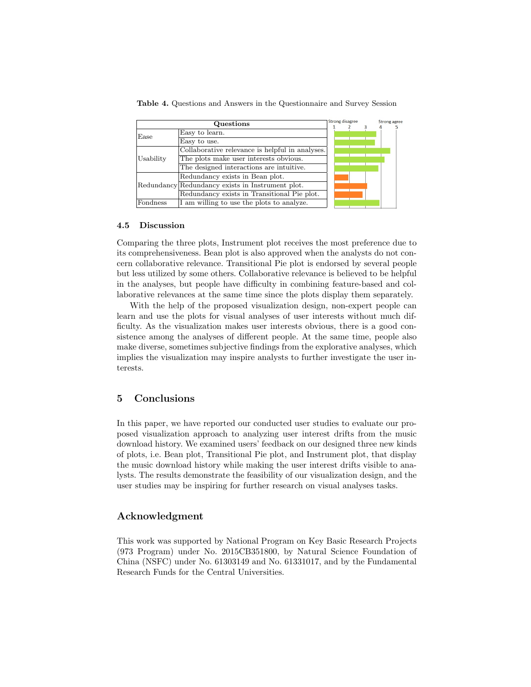| Questions |                                                  | <b>Strong disagree</b> | <b>Strong agree</b> |  |  |
|-----------|--------------------------------------------------|------------------------|---------------------|--|--|
|           |                                                  |                        |                     |  |  |
| Ease      | Easy to learn.                                   |                        |                     |  |  |
|           | Easy to use.                                     |                        |                     |  |  |
| Usability | Collaborative relevance is helpful in analyses.  |                        |                     |  |  |
|           | The plots make user interests obvious.           |                        |                     |  |  |
|           | The designed interactions are intuitive.         |                        |                     |  |  |
|           | Redundancy exists in Bean plot.                  |                        |                     |  |  |
|           | Redundancy Redundancy exists in Instrument plot. |                        |                     |  |  |
|           | Redundancy exists in Transitional Pie plot.      |                        |                     |  |  |
| Fondness  | I am willing to use the plots to analyze.        |                        |                     |  |  |

<span id="page-10-0"></span>Table 4. Questions and Answers in the Questionnaire and Survey Session

#### 4.5 Discussion

Comparing the three plots, Instrument plot receives the most preference due to its comprehensiveness. Bean plot is also approved when the analysts do not concern collaborative relevance. Transitional Pie plot is endorsed by several people but less utilized by some others. Collaborative relevance is believed to be helpful in the analyses, but people have difficulty in combining feature-based and collaborative relevances at the same time since the plots display them separately.

With the help of the proposed visualization design, non-expert people can learn and use the plots for visual analyses of user interests without much difficulty. As the visualization makes user interests obvious, there is a good consistence among the analyses of different people. At the same time, people also make diverse, sometimes subjective findings from the explorative analyses, which implies the visualization may inspire analysts to further investigate the user interests.

# 5 Conclusions

In this paper, we have reported our conducted user studies to evaluate our proposed visualization approach to analyzing user interest drifts from the music download history. We examined users' feedback on our designed three new kinds of plots, i.e. Bean plot, Transitional Pie plot, and Instrument plot, that display the music download history while making the user interest drifts visible to analysts. The results demonstrate the feasibility of our visualization design, and the user studies may be inspiring for further research on visual analyses tasks.

# Acknowledgment

This work was supported by National Program on Key Basic Research Projects (973 Program) under No. 2015CB351800, by Natural Science Foundation of China (NSFC) under No. 61303149 and No. 61331017, and by the Fundamental Research Funds for the Central Universities.